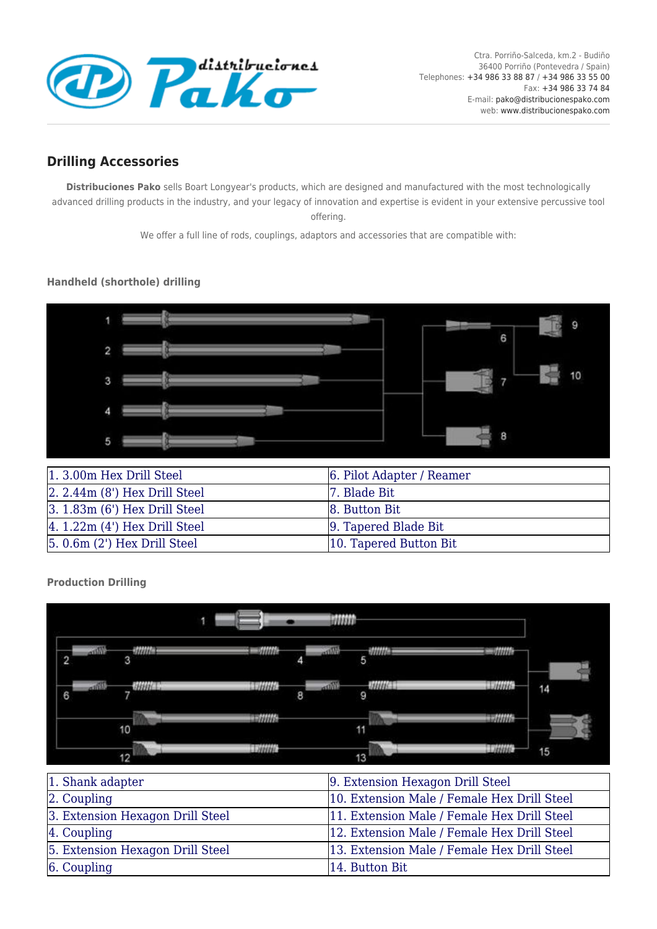

## **Drilling Accessories**

**Distribuciones Pako** sells Boart Longyear's products, which are designed and manufactured with the most technologically advanced drilling products in the industry, and your legacy of innovation and expertise is evident in your extensive percussive tool offering.

We offer a full line of rods, couplings, adaptors and accessories that are compatible with:

## **Handheld (shorthole) drilling**



| 1.3.00m Hex Drill Steel                      | 6. Pilot Adapter / Reamer |
|----------------------------------------------|---------------------------|
| $\left 2, 2.44m\right $ (8') Hex Drill Steel | 7. Blade Bit              |
| $\left 3.1.83\right $ (6') Hex Drill Steel   | 8. Button Bit             |
| $ 4.1.22m(4')$ Hex Drill Steel               | 9. Tapered Blade Bit      |
| $ 5.0.6m(2')$ Hex Drill Steel                | 10. Tapered Button Bit    |

**Production Drilling**



| 1. Shank adapter                 | 9. Extension Hexagon Drill Steel            |
|----------------------------------|---------------------------------------------|
| $\alpha$ . Coupling              | 10. Extension Male / Female Hex Drill Steel |
| 3. Extension Hexagon Drill Steel | 11. Extension Male / Female Hex Drill Steel |
| $ 4.$ Coupling                   | 12. Extension Male / Female Hex Drill Steel |
| 5. Extension Hexagon Drill Steel | 13. Extension Male / Female Hex Drill Steel |
| $6.$ Coupling                    | 14. Button Bit                              |